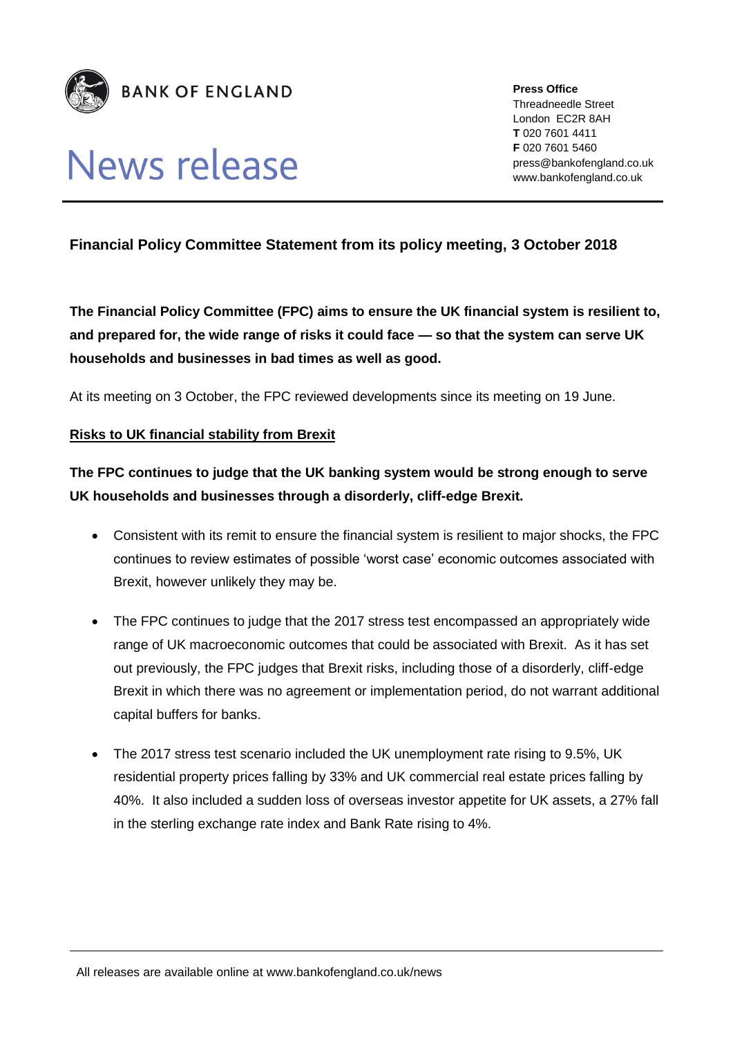

# **News release**

**Press Office** Threadneedle Street London EC2R 8AH **T** 020 7601 4411 **F** 020 7601 5460 press@bankofengland.co.uk www.bankofengland.co.uk

#### **Financial Policy Committee Statement from its policy meeting, 3 October 2018**

**The Financial Policy Committee (FPC) aims to ensure the UK financial system is resilient to, and prepared for, the wide range of risks it could face — so that the system can serve UK households and businesses in bad times as well as good.** 

At its meeting on 3 October, the FPC reviewed developments since its meeting on 19 June.

#### **Risks to UK financial stability from Brexit**

### **The FPC continues to judge that the UK banking system would be strong enough to serve UK households and businesses through a disorderly, cliff-edge Brexit.**

- Consistent with its remit to ensure the financial system is resilient to major shocks, the FPC continues to review estimates of possible 'worst case' economic outcomes associated with Brexit, however unlikely they may be.
- The FPC continues to judge that the 2017 stress test encompassed an appropriately wide range of UK macroeconomic outcomes that could be associated with Brexit. As it has set out previously, the FPC judges that Brexit risks, including those of a disorderly, cliff-edge Brexit in which there was no agreement or implementation period, do not warrant additional capital buffers for banks.
- The 2017 stress test scenario included the UK unemployment rate rising to 9.5%, UK residential property prices falling by 33% and UK commercial real estate prices falling by 40%. It also included a sudden loss of overseas investor appetite for UK assets, a 27% fall in the sterling exchange rate index and Bank Rate rising to 4%.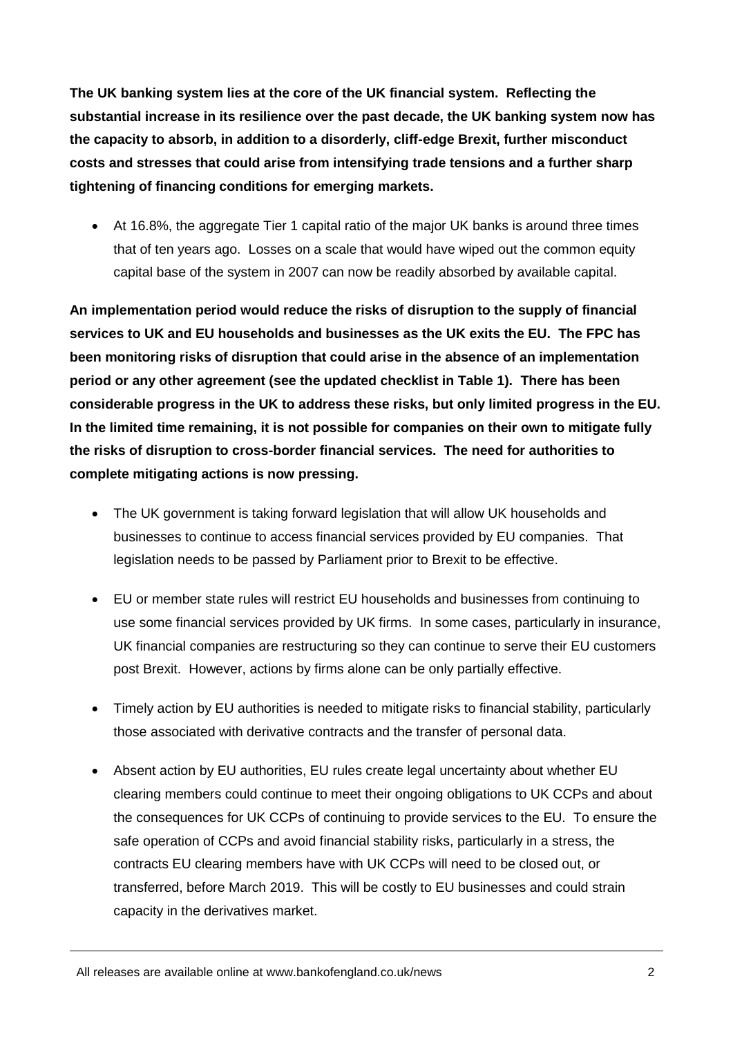**The UK banking system lies at the core of the UK financial system. Reflecting the substantial increase in its resilience over the past decade, the UK banking system now has the capacity to absorb, in addition to a disorderly, cliff-edge Brexit, further misconduct costs and stresses that could arise from intensifying trade tensions and a further sharp tightening of financing conditions for emerging markets.** 

 At 16.8%, the aggregate Tier 1 capital ratio of the major UK banks is around three times that of ten years ago. Losses on a scale that would have wiped out the common equity capital base of the system in 2007 can now be readily absorbed by available capital.

**An implementation period would reduce the risks of disruption to the supply of financial services to UK and EU households and businesses as the UK exits the EU. The FPC has been monitoring risks of disruption that could arise in the absence of an implementation period or any other agreement (see the updated checklist in Table 1). There has been considerable progress in the UK to address these risks, but only limited progress in the EU. In the limited time remaining, it is not possible for companies on their own to mitigate fully the risks of disruption to cross-border financial services. The need for authorities to complete mitigating actions is now pressing.**

- The UK government is taking forward legislation that will allow UK households and businesses to continue to access financial services provided by EU companies. That legislation needs to be passed by Parliament prior to Brexit to be effective.
- EU or member state rules will restrict EU households and businesses from continuing to use some financial services provided by UK firms. In some cases, particularly in insurance, UK financial companies are restructuring so they can continue to serve their EU customers post Brexit. However, actions by firms alone can be only partially effective.
- Timely action by EU authorities is needed to mitigate risks to financial stability, particularly those associated with derivative contracts and the transfer of personal data.
- Absent action by EU authorities, EU rules create legal uncertainty about whether EU clearing members could continue to meet their ongoing obligations to UK CCPs and about the consequences for UK CCPs of continuing to provide services to the EU. To ensure the safe operation of CCPs and avoid financial stability risks, particularly in a stress, the contracts EU clearing members have with UK CCPs will need to be closed out, or transferred, before March 2019. This will be costly to EU businesses and could strain capacity in the derivatives market.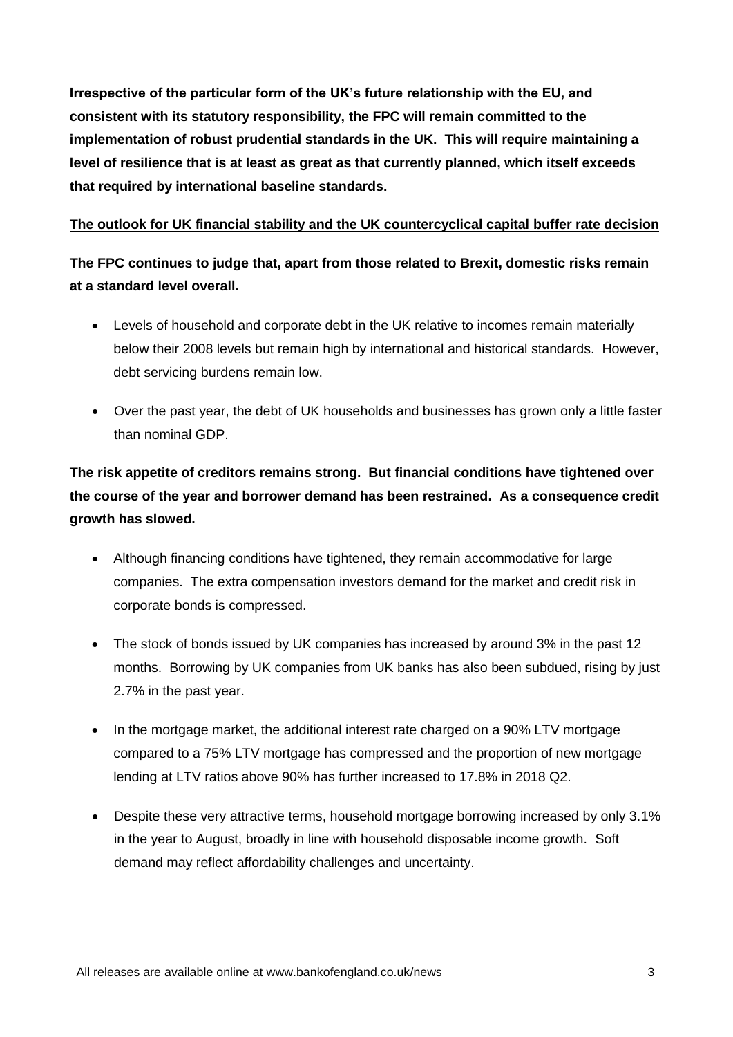**Irrespective of the particular form of the UK's future relationship with the EU, and consistent with its statutory responsibility, the FPC will remain committed to the implementation of robust prudential standards in the UK. This will require maintaining a level of resilience that is at least as great as that currently planned, which itself exceeds that required by international baseline standards.**

#### **The outlook for UK financial stability and the UK countercyclical capital buffer rate decision**

**The FPC continues to judge that, apart from those related to Brexit, domestic risks remain at a standard level overall.**

- Levels of household and corporate debt in the UK relative to incomes remain materially below their 2008 levels but remain high by international and historical standards. However, debt servicing burdens remain low.
- Over the past year, the debt of UK households and businesses has grown only a little faster than nominal GDP.

## **The risk appetite of creditors remains strong. But financial conditions have tightened over the course of the year and borrower demand has been restrained. As a consequence credit growth has slowed.**

- Although financing conditions have tightened, they remain accommodative for large companies. The extra compensation investors demand for the market and credit risk in corporate bonds is compressed.
- The stock of bonds issued by UK companies has increased by around 3% in the past 12 months. Borrowing by UK companies from UK banks has also been subdued, rising by just 2.7% in the past year.
- In the mortgage market, the additional interest rate charged on a 90% LTV mortgage compared to a 75% LTV mortgage has compressed and the proportion of new mortgage lending at LTV ratios above 90% has further increased to 17.8% in 2018 Q2.
- Despite these very attractive terms, household mortgage borrowing increased by only 3.1% in the year to August, broadly in line with household disposable income growth. Soft demand may reflect affordability challenges and uncertainty.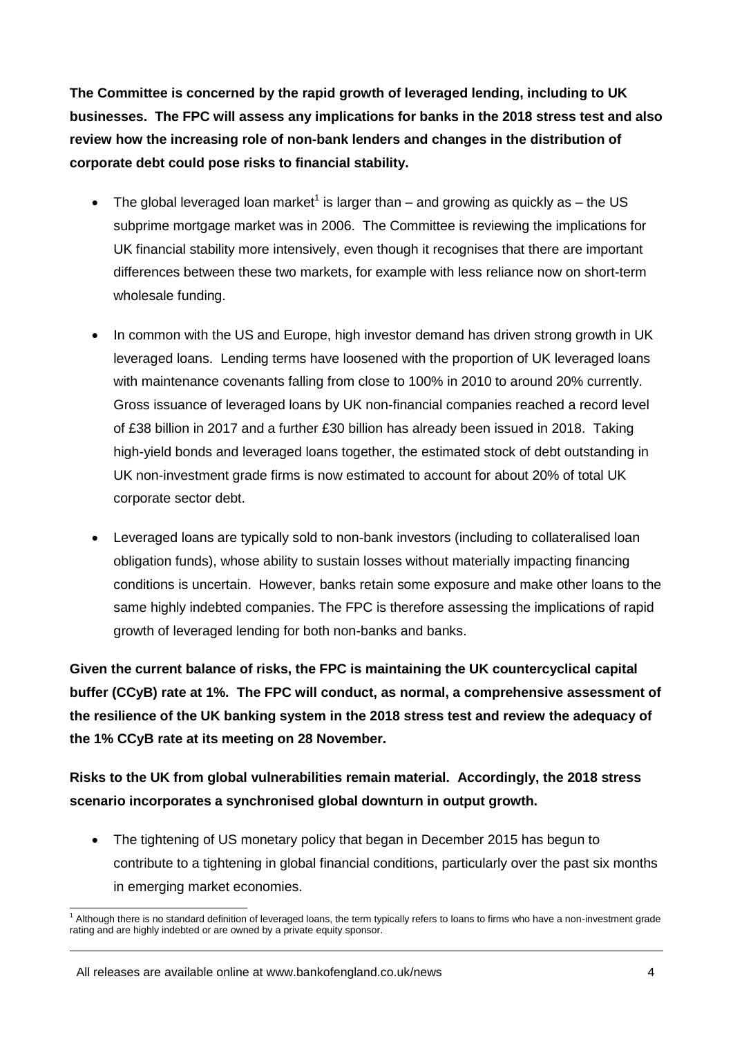**The Committee is concerned by the rapid growth of leveraged lending, including to UK businesses. The FPC will assess any implications for banks in the 2018 stress test and also review how the increasing role of non-bank lenders and changes in the distribution of corporate debt could pose risks to financial stability.**

- The global leveraged loan market<sup>1</sup> is larger than  $-$  and growing as quickly as  $-$  the US subprime mortgage market was in 2006. The Committee is reviewing the implications for UK financial stability more intensively, even though it recognises that there are important differences between these two markets, for example with less reliance now on short-term wholesale funding.
- In common with the US and Europe, high investor demand has driven strong growth in UK leveraged loans. Lending terms have loosened with the proportion of UK leveraged loans with maintenance covenants falling from close to 100% in 2010 to around 20% currently. Gross issuance of leveraged loans by UK non-financial companies reached a record level of £38 billion in 2017 and a further £30 billion has already been issued in 2018. Taking high-yield bonds and leveraged loans together, the estimated stock of debt outstanding in UK non-investment grade firms is now estimated to account for about 20% of total UK corporate sector debt.
- Leveraged loans are typically sold to non-bank investors (including to collateralised loan obligation funds), whose ability to sustain losses without materially impacting financing conditions is uncertain. However, banks retain some exposure and make other loans to the same highly indebted companies. The FPC is therefore assessing the implications of rapid growth of leveraged lending for both non-banks and banks.

**Given the current balance of risks, the FPC is maintaining the UK countercyclical capital buffer (CCyB) rate at 1%. The FPC will conduct, as normal, a comprehensive assessment of the resilience of the UK banking system in the 2018 stress test and review the adequacy of the 1% CCyB rate at its meeting on 28 November.**

**Risks to the UK from global vulnerabilities remain material. Accordingly, the 2018 stress scenario incorporates a synchronised global downturn in output growth.**

 The tightening of US monetary policy that began in December 2015 has begun to contribute to a tightening in global financial conditions, particularly over the past six months in emerging market economies.

<sup>-</sup><sup>1</sup> Although there is no standard definition of leveraged loans, the term typically refers to loans to firms who have a non-investment grade rating and are highly indebted or are owned by a private equity sponsor.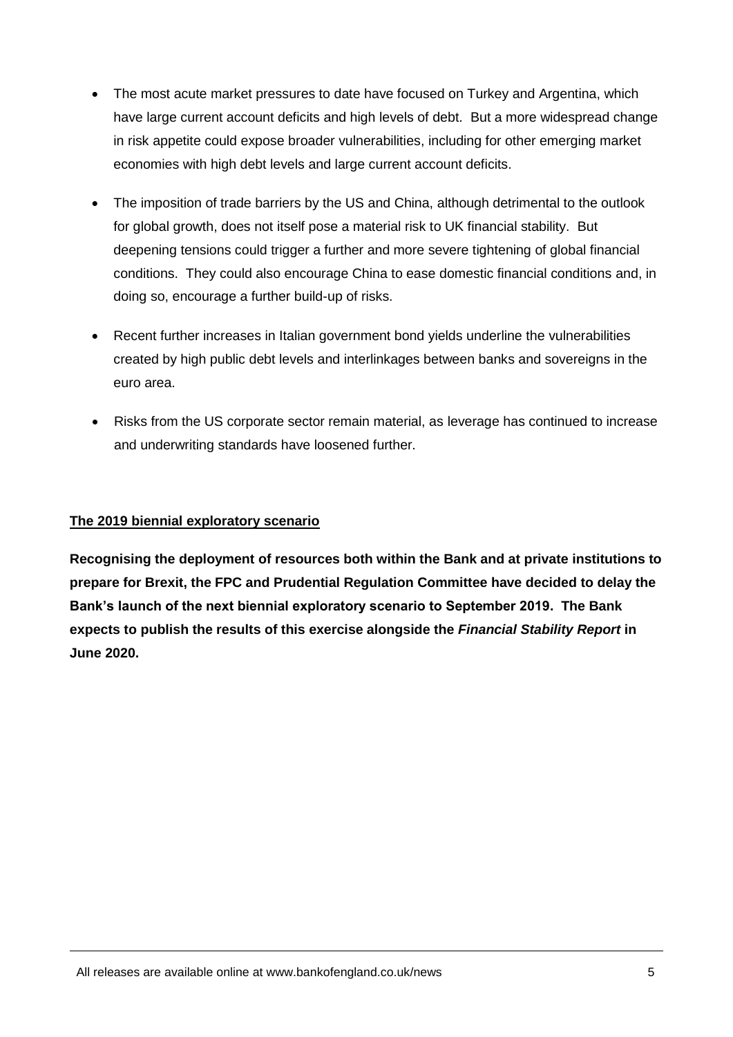- The most acute market pressures to date have focused on Turkey and Argentina, which have large current account deficits and high levels of debt. But a more widespread change in risk appetite could expose broader vulnerabilities, including for other emerging market economies with high debt levels and large current account deficits.
- The imposition of trade barriers by the US and China, although detrimental to the outlook for global growth, does not itself pose a material risk to UK financial stability. But deepening tensions could trigger a further and more severe tightening of global financial conditions. They could also encourage China to ease domestic financial conditions and, in doing so, encourage a further build-up of risks.
- Recent further increases in Italian government bond yields underline the vulnerabilities created by high public debt levels and interlinkages between banks and sovereigns in the euro area.
- Risks from the US corporate sector remain material, as leverage has continued to increase and underwriting standards have loosened further.

#### **The 2019 biennial exploratory scenario**

**Recognising the deployment of resources both within the Bank and at private institutions to prepare for Brexit, the FPC and Prudential Regulation Committee have decided to delay the Bank's launch of the next biennial exploratory scenario to September 2019. The Bank expects to publish the results of this exercise alongside the** *Financial Stability Report* **in June 2020.**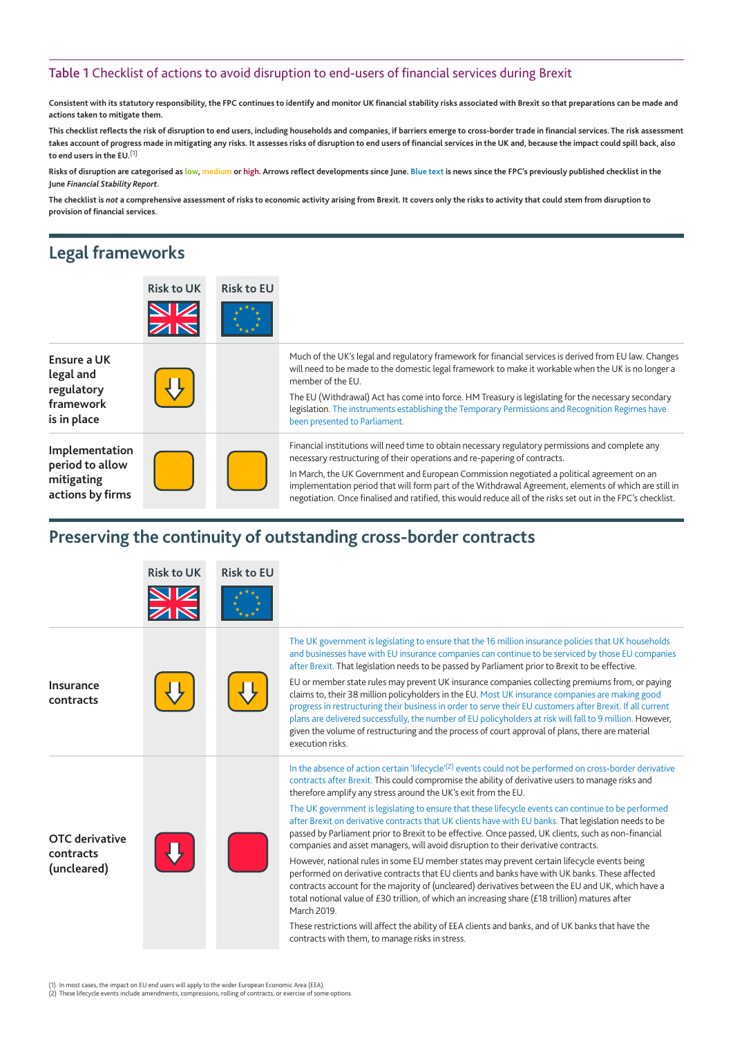#### Table 1 Checklist of actions to avoid disruption to end-users of financial services during Brexit

**Consistent with its statutory responsibility, the FPC continues to identify and monitor UK financial stability risks associated with Brexit so that preparations can be made and actions taken to mitigate them.** 

**This checklist reflects the risk of disruption to end users, including households and companies, if barriers emerge to cross-border trade in financial services. The risk assessment takes account of progress made in mitigating any risks. It assesses risks of disruption to end users of financial services in the UK and, because the impact could spill back, also to end users in the EU.**(1)

**Risks of disruption are categorised as low, medium or high. Arrows reflect developments since June. Blue text is news since the FPC's previously published checklist in the June** *Financial Stability Report***.**

**The checklist is** *not* **a comprehensive assessment of risks to economic activity arising from Brexit. It covers only the risks to activity that could stem from disruption to provision of financial services.**

## **Legal frameworks**

|                                                                     | <b>Risk to UK</b> | <b>Risk to EU</b> |                                                                                                                                                                                                                                                                                                                                                                                                                                                                                                       |
|---------------------------------------------------------------------|-------------------|-------------------|-------------------------------------------------------------------------------------------------------------------------------------------------------------------------------------------------------------------------------------------------------------------------------------------------------------------------------------------------------------------------------------------------------------------------------------------------------------------------------------------------------|
| Ensure a UK<br>legal and<br>regulatory<br>framework<br>is in place  |                   |                   | Much of the UK's legal and regulatory framework for financial services is derived from EU law. Changes<br>will need to be made to the domestic legal framework to make it workable when the UK is no longer a<br>member of the EU.<br>The EU (Withdrawal) Act has come into force. HM Treasury is legislating for the necessary secondary<br>legislation. The instruments establishing the Temporary Permissions and Recognition Regimes have<br>been presented to Parliament.                        |
| Implementation<br>period to allow<br>mitigating<br>actions by firms |                   |                   | Financial institutions will need time to obtain necessary regulatory permissions and complete any<br>necessary restructuring of their operations and re-papering of contracts.<br>In March, the UK Government and European Commission negotiated a political agreement on an<br>implementation period that will form part of the Withdrawal Agreement, elements of which are still in<br>negotiation. Once finalised and ratified, this would reduce all of the risks set out in the FPC's checklist. |

## **Preserving the continuity of outstanding cross-border contracts**

|                                                   | <b>Risk to UK</b> | <b>Risk to EU</b> |                                                                                                                                                                                                                                                                                                                                                                                                                                                                                                                                                                                                                                                                                                                                                                                                                                                                                                                                                                                                                                                                                                                                                                                                                                                                                               |
|---------------------------------------------------|-------------------|-------------------|-----------------------------------------------------------------------------------------------------------------------------------------------------------------------------------------------------------------------------------------------------------------------------------------------------------------------------------------------------------------------------------------------------------------------------------------------------------------------------------------------------------------------------------------------------------------------------------------------------------------------------------------------------------------------------------------------------------------------------------------------------------------------------------------------------------------------------------------------------------------------------------------------------------------------------------------------------------------------------------------------------------------------------------------------------------------------------------------------------------------------------------------------------------------------------------------------------------------------------------------------------------------------------------------------|
|                                                   |                   |                   |                                                                                                                                                                                                                                                                                                                                                                                                                                                                                                                                                                                                                                                                                                                                                                                                                                                                                                                                                                                                                                                                                                                                                                                                                                                                                               |
| Insurance<br>contracts                            |                   |                   | The UK government is legislating to ensure that the 16 million insurance policies that UK households<br>and businesses have with EU insurance companies can continue to be serviced by those EU companies<br>after Brexit. That legislation needs to be passed by Parliament prior to Brexit to be effective.<br>EU or member state rules may prevent UK insurance companies collecting premiums from, or paying<br>claims to, their 38 million policyholders in the EU. Most UK insurance companies are making good<br>progress in restructuring their business in order to serve their EU customers after Brexit. If all current<br>plans are delivered successfully, the number of EU policyholders at risk will fall to 9 million. However,<br>given the volume of restructuring and the process of court approval of plans, there are material<br>execution risks.                                                                                                                                                                                                                                                                                                                                                                                                                       |
| <b>OTC</b> derivative<br>contracts<br>(uncleared) |                   |                   | In the absence of action certain 'lifecycle' <sup>(2)</sup> events could not be performed on cross-border derivative<br>contracts after Brexit. This could compromise the ability of derivative users to manage risks and<br>therefore amplify any stress around the UK's exit from the EU.<br>The UK government is legislating to ensure that these lifecycle events can continue to be performed<br>after Brexit on derivative contracts that UK clients have with EU banks. That legislation needs to be<br>passed by Parliament prior to Brexit to be effective. Once passed, UK clients, such as non-financial<br>companies and asset managers, will avoid disruption to their derivative contracts.<br>However, national rules in some EU member states may prevent certain lifecycle events being<br>performed on derivative contracts that EU clients and banks have with UK banks. These affected<br>contracts account for the majority of (uncleared) derivatives between the EU and UK, which have a<br>total notional value of $£30$ trillion, of which an increasing share $£18$ trillion) matures after<br>March 2019.<br>These restrictions will affect the ability of EEA clients and banks, and of UK banks that have the<br>contracts with them, to manage risks in stress. |

(1) In most cases, the impact on EU end users will apply to the wider European Economic Area (EEA). (2) These lifecycle events include amendments, compressions, rolling of contracts, or exercise of some options.